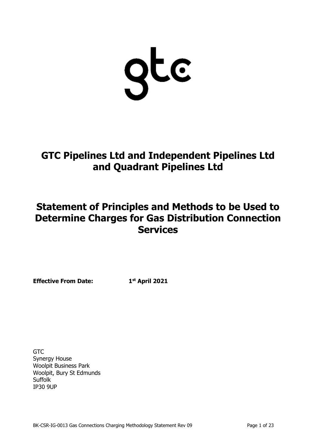gte

**GTC Pipelines Ltd and Independent Pipelines Ltd and Quadrant Pipelines Ltd**

# **Statement of Principles and Methods to be Used to Determine Charges for Gas Distribution Connection Services**

**Effective From Date: 1**

**st April 2021**

**GTC** Synergy House Woolpit Business Park Woolpit, Bury St Edmunds Suffolk IP30 9UP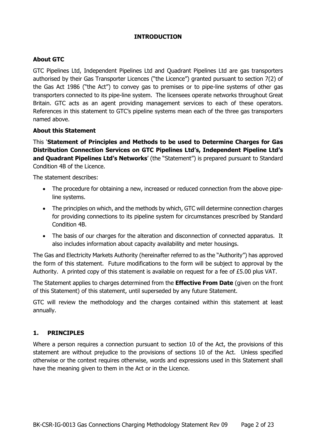### **INTRODUCTION**

# **About GTC**

GTC Pipelines Ltd, Independent Pipelines Ltd and Quadrant Pipelines Ltd are gas transporters authorised by their Gas Transporter Licences ("the Licence") granted pursuant to section 7(2) of the Gas Act 1986 ("the Act") to convey gas to premises or to pipe-line systems of other gas transporters connected to its pipe-line system. The licensees operate networks throughout Great Britain. GTC acts as an agent providing management services to each of these operators. References in this statement to GTC's pipeline systems mean each of the three gas transporters named above.

### **About this Statement**

This '**Statement of Principles and Methods to be used to Determine Charges for Gas Distribution Connection Services on GTC Pipelines Ltd's, Independent Pipeline Ltd's and Quadrant Pipelines Ltd's Networks**' (the "Statement") is prepared pursuant to Standard Condition 4B of the Licence.

The statement describes:

- The procedure for obtaining a new, increased or reduced connection from the above pipeline systems.
- The principles on which, and the methods by which, GTC will determine connection charges for providing connections to its pipeline system for circumstances prescribed by Standard Condition 4B.
- The basis of our charges for the alteration and disconnection of connected apparatus. It also includes information about capacity availability and meter housings.

The Gas and Electricity Markets Authority (hereinafter referred to as the "Authority") has approved the form of this statement. Future modifications to the form will be subject to approval by the Authority. A printed copy of this statement is available on request for a fee of £5.00 plus VAT.

The Statement applies to charges determined from the **Effective From Date** (given on the front of this Statement) of this statement, until superseded by any future Statement.

GTC will review the methodology and the charges contained within this statement at least annually.

### **1. PRINCIPLES**

Where a person requires a connection pursuant to section 10 of the Act, the provisions of this statement are without prejudice to the provisions of sections 10 of the Act. Unless specified otherwise or the context requires otherwise, words and expressions used in this Statement shall have the meaning given to them in the Act or in the Licence.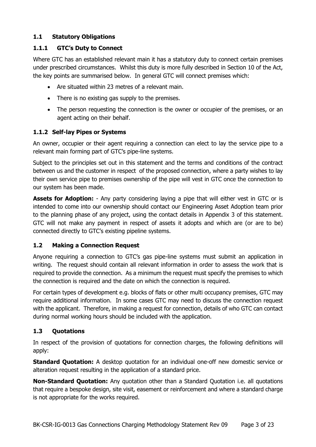# **1.1 Statutory Obligations**

# **1.1.1 GTC's Duty to Connect**

Where GTC has an established relevant main it has a statutory duty to connect certain premises under prescribed circumstances. Whilst this duty is more fully described in Section 10 of the Act, the key points are summarised below. In general GTC will connect premises which:

- Are situated within 23 metres of a relevant main.
- There is no existing gas supply to the premises.
- The person requesting the connection is the owner or occupier of the premises, or an agent acting on their behalf.

# **1.1.2 Self-lay Pipes or Systems**

An owner, occupier or their agent requiring a connection can elect to lay the service pipe to a relevant main forming part of GTC's pipe-line systems.

Subject to the principles set out in this statement and the terms and conditions of the contract between us and the customer in respect of the proposed connection, where a party wishes to lay their own service pipe to premises ownership of the pipe will vest in GTC once the connection to our system has been made.

**Assets for Adoption:** - Any party considering laying a pipe that will either vest in GTC or is intended to come into our ownership should contact our Engineering Asset Adoption team prior to the planning phase of any project, using the contact details in Appendix 3 of this statement. GTC will not make any payment in respect of assets it adopts and which are (or are to be) connected directly to GTC's existing pipeline systems.

# **1.2 Making a Connection Request**

Anyone requiring a connection to GTC's gas pipe-line systems must submit an application in writing. The request should contain all relevant information in order to assess the work that is required to provide the connection. As a minimum the request must specify the premises to which the connection is required and the date on which the connection is required.

For certain types of development e.g. blocks of flats or other multi occupancy premises, GTC may require additional information. In some cases GTC may need to discuss the connection request with the applicant. Therefore, in making a request for connection, details of who GTC can contact during normal working hours should be included with the application.

# **1.3 Quotations**

In respect of the provision of quotations for connection charges, the following definitions will apply:

**Standard Quotation:** A desktop quotation for an individual one-off new domestic service or alteration request resulting in the application of a standard price.

**Non-Standard Quotation:** Any quotation other than a Standard Quotation i.e. all quotations that require a bespoke design, site visit, easement or reinforcement and where a standard charge is not appropriate for the works required.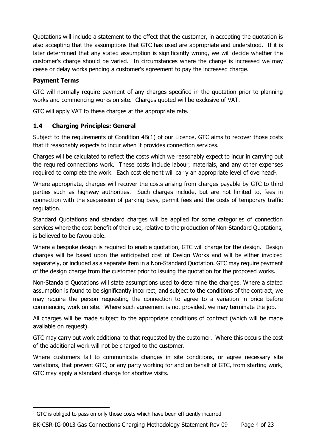Quotations will include a statement to the effect that the customer, in accepting the quotation is also accepting that the assumptions that GTC has used are appropriate and understood. If it is later determined that any stated assumption is significantly wrong, we will decide whether the customer's charge should be varied. In circumstances where the charge is increased we may cease or delay works pending a customer's agreement to pay the increased charge.

# **Payment Terms**

GTC will normally require payment of any charges specified in the quotation prior to planning works and commencing works on site. Charges quoted will be exclusive of VAT.

GTC will apply VAT to these charges at the appropriate rate.

# **1.4 Charging Principles: General**

Subject to the requirements of Condition 4B(1) of our Licence, GTC aims to recover those costs that it reasonably expects to incur when it provides connection services.

Charges will be calculated to reflect the costs which we reasonably expect to incur in carrying out the required connections work. These costs include labour, materials, and any other expenses required to complete the work. Each cost element will carry an appropriate level of overhead<sup>1</sup>.

Where appropriate, charges will recover the costs arising from charges payable by GTC to third parties such as highway authorities. Such charges include, but are not limited to, fees in connection with the suspension of parking bays, permit fees and the costs of temporary traffic regulation.

Standard Quotations and standard charges will be applied for some categories of connection services where the cost benefit of their use, relative to the production of Non-Standard Quotations, is believed to be favourable.

Where a bespoke design is required to enable quotation, GTC will charge for the design. Design charges will be based upon the anticipated cost of Design Works and will be either invoiced separately, or included as a separate item in a Non-Standard Quotation. GTC may require payment of the design charge from the customer prior to issuing the quotation for the proposed works.

Non-Standard Quotations will state assumptions used to determine the charges. Where a stated assumption is found to be significantly incorrect, and subject to the conditions of the contract, we may require the person requesting the connection to agree to a variation in price before commencing work on site. Where such agreement is not provided, we may terminate the job.

All charges will be made subject to the appropriate conditions of contract (which will be made available on request).

GTC may carry out work additional to that requested by the customer. Where this occurs the cost of the additional work will not be charged to the customer.

Where customers fail to communicate changes in site conditions, or agree necessary site variations, that prevent GTC, or any party working for and on behalf of GTC, from starting work, GTC may apply a standard charge for abortive visits.

 $1$  GTC is obliged to pass on only those costs which have been efficiently incurred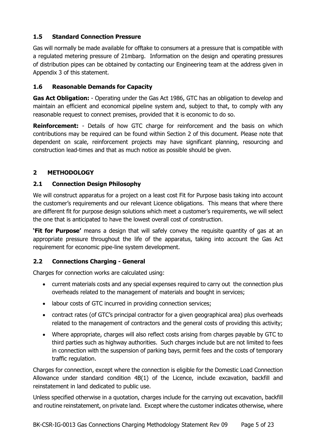# **1.5 Standard Connection Pressure**

Gas will normally be made available for offtake to consumers at a pressure that is compatible with a regulated metering pressure of 21mbarg. Information on the design and operating pressures of distribution pipes can be obtained by contacting our Engineering team at the address given in Appendix 3 of this statement.

### **1.6 Reasonable Demands for Capacity**

**Gas Act Obligation:** - Operating under the Gas Act 1986, GTC has an obligation to develop and maintain an efficient and economical pipeline system and, subject to that, to comply with any reasonable request to connect premises, provided that it is economic to do so.

**Reinforcement:** - Details of how GTC charge for reinforcement and the basis on which contributions may be required can be found within Section 2 of this document. Please note that dependent on scale, reinforcement projects may have significant planning, resourcing and construction lead-times and that as much notice as possible should be given.

# **2 METHODOLOGY**

### **2.1 Connection Design Philosophy**

We will construct apparatus for a project on a least cost Fit for Purpose basis taking into account the customer's requirements and our relevant Licence obligations. This means that where there are different fit for purpose design solutions which meet a customer's requirements, we will select the one that is anticipated to have the lowest overall cost of construction.

**'Fit for Purpose'** means a design that will safely convey the requisite quantity of gas at an appropriate pressure throughout the life of the apparatus, taking into account the Gas Act requirement for economic pipe-line system development.

### **2.2 Connections Charging - General**

Charges for connection works are calculated using:

- current materials costs and any special expenses required to carry out the connection plus overheads related to the management of materials and bought in services;
- labour costs of GTC incurred in providing connection services;
- contract rates (of GTC's principal contractor for a given geographical area) plus overheads related to the management of contractors and the general costs of providing this activity;
- Where appropriate, charges will also reflect costs arising from charges payable by GTC to third parties such as highway authorities. Such charges include but are not limited to fees in connection with the suspension of parking bays, permit fees and the costs of temporary traffic regulation.

Charges for connection, except where the connection is eligible for the Domestic Load Connection Allowance under standard condition 4B(1) of the Licence, include excavation, backfill and reinstatement in land dedicated to public use.

Unless specified otherwise in a quotation, charges include for the carrying out excavation, backfill and routine reinstatement, on private land. Except where the customer indicates otherwise, where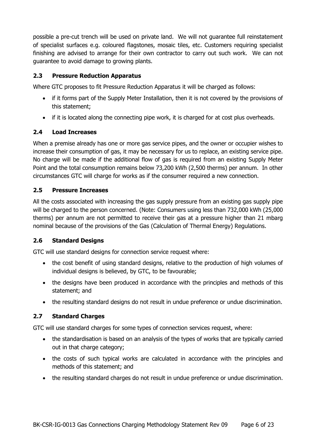possible a pre-cut trench will be used on private land. We will not guarantee full reinstatement of specialist surfaces e.g. coloured flagstones, mosaic tiles, etc. Customers requiring specialist finishing are advised to arrange for their own contractor to carry out such work. We can not guarantee to avoid damage to growing plants.

# **2.3 Pressure Reduction Apparatus**

Where GTC proposes to fit Pressure Reduction Apparatus it will be charged as follows:

- if it forms part of the Supply Meter Installation, then it is not covered by the provisions of this statement;
- if it is located along the connecting pipe work, it is charged for at cost plus overheads.

# **2.4 Load Increases**

When a premise already has one or more gas service pipes, and the owner or occupier wishes to increase their consumption of gas, it may be necessary for us to replace, an existing service pipe. No charge will be made if the additional flow of gas is required from an existing Supply Meter Point and the total consumption remains below 73,200 kWh (2,500 therms) per annum. In other circumstances GTC will charge for works as if the consumer required a new connection.

# **2.5 Pressure Increases**

All the costs associated with increasing the gas supply pressure from an existing gas supply pipe will be charged to the person concerned. (Note: Consumers using less than 732,000 kWh (25,000 therms) per annum are not permitted to receive their gas at a pressure higher than 21 mbarg nominal because of the provisions of the Gas (Calculation of Thermal Energy) Regulations.

### **2.6 Standard Designs**

GTC will use standard designs for connection service request where:

- the cost benefit of using standard designs, relative to the production of high volumes of individual designs is believed, by GTC, to be favourable;
- the designs have been produced in accordance with the principles and methods of this statement; and
- the resulting standard designs do not result in undue preference or undue discrimination.

### **2.7 Standard Charges**

GTC will use standard charges for some types of connection services request, where:

- the standardisation is based on an analysis of the types of works that are typically carried out in that charge category;
- the costs of such typical works are calculated in accordance with the principles and methods of this statement; and
- the resulting standard charges do not result in undue preference or undue discrimination.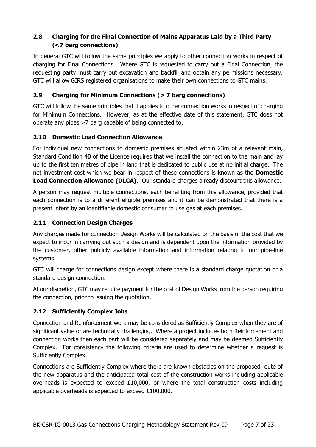# **2.8 Charging for the Final Connection of Mains Apparatus Laid by a Third Party (<7 barg connections)**

In general GTC will follow the same principles we apply to other connection works in respect of charging for Final Connections. Where GTC is requested to carry out a Final Connection, the requesting party must carry out excavation and backfill and obtain any permissions necessary. GTC will allow GIRS registered organisations to make their own connections to GTC mains.

# **2.9 Charging for Minimum Connections (> 7 barg connections)**

GTC will follow the same principles that it applies to other connection works in respect of charging for Minimum Connections. However, as at the effective date of this statement, GTC does not operate any pipes >7 barg capable of being connected to.

# **2.10 Domestic Load Connection Allowance**

For individual new connections to domestic premises situated within 23m of a relevant main, Standard Condition 4B of the Licence requires that we install the connection to the main and lay up to the first ten metres of pipe in land that is dedicated to public use at no initial charge. The net investment cost which we bear in respect of these connections is known as the **Domestic Load Connection Allowance (DLCA)**. Our standard charges already discount this allowance.

A person may request multiple connections, each benefiting from this allowance, provided that each connection is to a different eligible premises and it can be demonstrated that there is a present intent by an identifiable domestic consumer to use gas at each premises.

# **2.11 Connection Design Charges**

Any charges made for connection Design Works will be calculated on the basis of the cost that we expect to incur in carrying out such a design and is dependent upon the information provided by the customer, other publicly available information and information relating to our pipe-line systems.

GTC will charge for connections design except where there is a standard charge quotation or a standard design connection.

At our discretion, GTC may require payment for the cost of Design Works from the person requiring the connection, prior to issuing the quotation.

# **2.12 Sufficiently Complex Jobs**

Connection and Reinforcement work may be considered as Sufficiently Complex when they are of significant value or are technically challenging. Where a project includes both Reinforcement and connection works then each part will be considered separately and may be deemed Sufficiently Complex. For consistency the following criteria are used to determine whether a request is Sufficiently Complex.

Connections are Sufficiently Complex where there are known obstacles on the proposed route of the new apparatus and the anticipated total cost of the construction works including applicable overheads is expected to exceed  $£10,000$ , or where the total construction costs including applicable overheads is expected to exceed £100,000.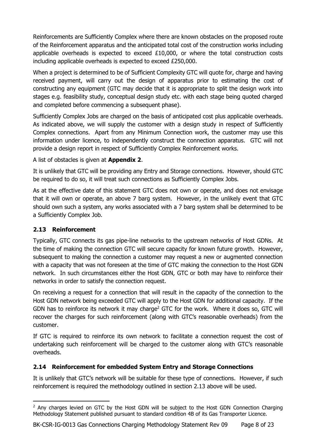Reinforcements are Sufficiently Complex where there are known obstacles on the proposed route of the Reinforcement apparatus and the anticipated total cost of the construction works including applicable overheads is expected to exceed  $£10,000$ , or where the total construction costs including applicable overheads is expected to exceed £250,000.

When a project is determined to be of Sufficient Complexity GTC will quote for, charge and having received payment, will carry out the design of apparatus prior to estimating the cost of constructing any equipment (GTC may decide that it is appropriate to split the design work into stages e.g. feasibility study, conceptual design study etc. with each stage being quoted charged and completed before commencing a subsequent phase).

Sufficiently Complex Jobs are charged on the basis of anticipated cost plus applicable overheads. As indicated above, we will supply the customer with a design study in respect of Sufficiently Complex connections. Apart from any Minimum Connection work, the customer may use this information under licence, to independently construct the connection apparatus. GTC will not provide a design report in respect of Sufficiently Complex Reinforcement works.

A list of obstacles is given at **Appendix 2**.

It is unlikely that GTC will be providing any Entry and Storage connections. However, should GTC be required to do so, it will treat such connections as Sufficiently Complex Jobs.

As at the effective date of this statement GTC does not own or operate, and does not envisage that it will own or operate, an above 7 barg system. However, in the unlikely event that GTC should own such a system, any works associated with a 7 barg system shall be determined to be a Sufficiently Complex Job.

# **2.13 Reinforcement**

Typically, GTC connects its gas pipe-line networks to the upstream networks of Host GDNs. At the time of making the connection GTC will secure capacity for known future growth. However, subsequent to making the connection a customer may request a new or augmented connection with a capacity that was not foreseen at the time of GTC making the connection to the Host GDN network. In such circumstances either the Host GDN, GTC or both may have to reinforce their networks in order to satisfy the connection request.

On receiving a request for a connection that will result in the capacity of the connection to the Host GDN network being exceeded GTC will apply to the Host GDN for additional capacity. If the GDN has to reinforce its network it may charge<sup>2</sup> GTC for the work. Where it does so, GTC will recover the charges for such reinforcement (along with GTC's reasonable overheads) from the customer.

If GTC is required to reinforce its own network to facilitate a connection request the cost of undertaking such reinforcement will be charged to the customer along with GTC's reasonable overheads.

# **2.14 Reinforcement for embedded System Entry and Storage Connections**

It is unlikely that GTC's network will be suitable for these type of connections. However, if such reinforcement is required the methodology outlined in section 2.13 above will be used.

<sup>&</sup>lt;sup>2</sup> Any charges levied on GTC by the Host GDN will be subject to the Host GDN Connection Charging Methodology Statement published pursuant to standard condition 4B of its Gas Transporter Licence.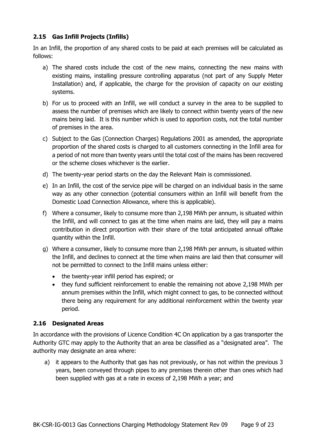# **2.15 Gas Infill Projects (Infills)**

In an Infill, the proportion of any shared costs to be paid at each premises will be calculated as follows:

- a) The shared costs include the cost of the new mains, connecting the new mains with existing mains, installing pressure controlling apparatus (not part of any Supply Meter Installation) and, if applicable, the charge for the provision of capacity on our existing systems.
- b) For us to proceed with an Infill, we will conduct a survey in the area to be supplied to assess the number of premises which are likely to connect within twenty years of the new mains being laid. It is this number which is used to apportion costs, not the total number of premises in the area.
- c) Subject to the Gas (Connection Charges) Regulations 2001 as amended, the appropriate proportion of the shared costs is charged to all customers connecting in the Infill area for a period of not more than twenty years until the total cost of the mains has been recovered or the scheme closes whichever is the earlier.
- d) The twenty-year period starts on the day the Relevant Main is commissioned.
- e) In an Infill, the cost of the service pipe will be charged on an individual basis in the same way as any other connection (potential consumers within an Infill will benefit from the Domestic Load Connection Allowance, where this is applicable).
- f) Where a consumer, likely to consume more than 2,198 MWh per annum, is situated within the Infill, and will connect to gas at the time when mains are laid, they will pay a mains contribution in direct proportion with their share of the total anticipated annual offtake quantity within the Infill.
- g) Where a consumer, likely to consume more than 2,198 MWh per annum, is situated within the Infill, and declines to connect at the time when mains are laid then that consumer will not be permitted to connect to the Infill mains unless either:
	- the twenty-year infill period has expired; or
	- they fund sufficient reinforcement to enable the remaining not above 2,198 MWh per annum premises within the Infill, which might connect to gas, to be connected without there being any requirement for any additional reinforcement within the twenty year period.

# **2.16 Designated Areas**

In accordance with the provisions of Licence Condition 4C On application by a gas transporter the Authority GTC may apply to the Authority that an area be classified as a "designated area". The authority may designate an area where:

a) it appears to the Authority that gas has not previously, or has not within the previous 3 years, been conveyed through pipes to any premises therein other than ones which had been supplied with gas at a rate in excess of 2,198 MWh a year; and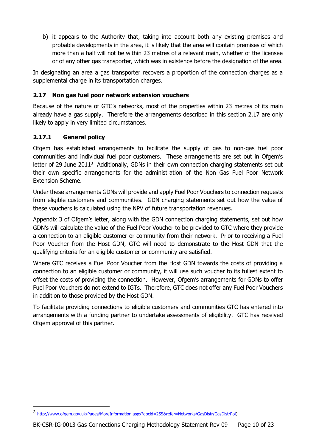b) it appears to the Authority that, taking into account both any existing premises and probable developments in the area, it is likely that the area will contain premises of which more than a half will not be within 23 metres of a relevant main, whether of the licensee or of any other gas transporter, which was in existence before the designation of the area.

In designating an area a gas transporter recovers a proportion of the connection charges as a supplemental charge in its transportation charges.

# **2.17 Non gas fuel poor network extension vouchers**

Because of the nature of GTC's networks, most of the properties within 23 metres of its main already have a gas supply. Therefore the arrangements described in this section 2.17 are only likely to apply in very limited circumstances.

# **2.17.1 General policy**

Ofgem has established arrangements to facilitate the supply of gas to non-gas fuel poor communities and individual fuel poor customers. These arrangements are set out in Ofgem's letter of 29 June  $2011<sup>3</sup>$  Additionally, GDNs in their own connection charging statements set out their own specific arrangements for the administration of the Non Gas Fuel Poor Network Extension Scheme.

Under these arrangements GDNs will provide and apply Fuel Poor Vouchers to connection requests from eligible customers and communities. GDN charging statements set out how the value of these vouchers is calculated using the NPV of future transportation revenues.

Appendix 3 of Ofgem's letter, along with the GDN connection charging statements, set out how GDN's will calculate the value of the Fuel Poor Voucher to be provided to GTC where they provide a connection to an eligible customer or community from their network. Prior to receiving a Fuel Poor Voucher from the Host GDN, GTC will need to demonstrate to the Host GDN that the qualifying criteria for an eligible customer or community are satisfied.

Where GTC receives a Fuel Poor Voucher from the Host GDN towards the costs of providing a connection to an eligible customer or community, it will use such voucher to its fullest extent to offset the costs of providing the connection. However, Ofgem's arrangements for GDNs to offer Fuel Poor Vouchers do not extend to IGTs. Therefore, GTC does not offer any Fuel Poor Vouchers in addition to those provided by the Host GDN.

To facilitate providing connections to eligible customers and communities GTC has entered into arrangements with a funding partner to undertake assessments of eligibility. GTC has received Ofgem approval of this partner.

<sup>3</sup> [http://www.ofgem.gov.uk/Pages/MoreInformation.aspx?docid=255&refer=Networks/GasDistr/GasDistrPol\)](http://www.ofgem.gov.uk/Pages/MoreInformation.aspx?docid=255&refer=Networks/GasDistr/GasDistrPol)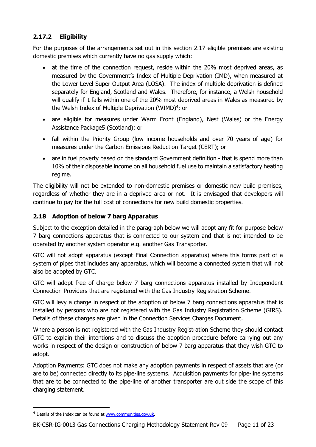# **2.17.2 Eligibility**

For the purposes of the arrangements set out in this section 2.17 eligible premises are existing domestic premises which currently have no gas supply which:

- at the time of the connection request, reside within the 20% most deprived areas, as measured by the Government's Index of Multiple Deprivation (IMD), when measured at the Lower Level Super Output Area (LOSA). The index of multiple deprivation is defined separately for England, Scotland and Wales. Therefore, for instance, a Welsh household will qualify if it falls within one of the 20% most deprived areas in Wales as measured by the Welsh Index of Multiple Deprivation (WIMD)<sup>4</sup>; or
- are eligible for measures under Warm Front (England), Nest (Wales) or the Energy Assistance Package5 (Scotland); or
- fall within the Priority Group (low income households and over 70 years of age) for measures under the Carbon Emissions Reduction Target (CERT); or
- are in fuel poverty based on the standard Government definition that is spend more than 10% of their disposable income on all household fuel use to maintain a satisfactory heating regime.

The eligibility will not be extended to non-domestic premises or domestic new build premises, regardless of whether they are in a deprived area or not. It is envisaged that developers will continue to pay for the full cost of connections for new build domestic properties.

# **2.18 Adoption of below 7 barg Apparatus**

Subject to the exception detailed in the paragraph below we will adopt any fit for purpose below 7 barg connections apparatus that is connected to our system and that is not intended to be operated by another system operator e.g. another Gas Transporter.

GTC will not adopt apparatus (except Final Connection apparatus) where this forms part of a system of pipes that includes any apparatus, which will become a connected system that will not also be adopted by GTC.

GTC will adopt free of charge below 7 barg connections apparatus installed by Independent Connection Providers that are registered with the Gas Industry Registration Scheme.

GTC will levy a charge in respect of the adoption of below 7 barg connections apparatus that is installed by persons who are not registered with the Gas Industry Registration Scheme (GIRS). Details of these charges are given in the Connection Services Charges Document.

Where a person is not registered with the Gas Industry Registration Scheme they should contact GTC to explain their intentions and to discuss the adoption procedure before carrying out any works in respect of the design or construction of below 7 barg apparatus that they wish GTC to adopt.

Adoption Payments: GTC does not make any adoption payments in respect of assets that are (or are to be) connected directly to its pipe-line systems. Acquisition payments for pipe-line systems that are to be connected to the pipe-line of another transporter are out side the scope of this charging statement.

<sup>&</sup>lt;sup>4</sup> Details of the Index can be found at [www.communities.gov.uk](http://www.communities.gov.uk/).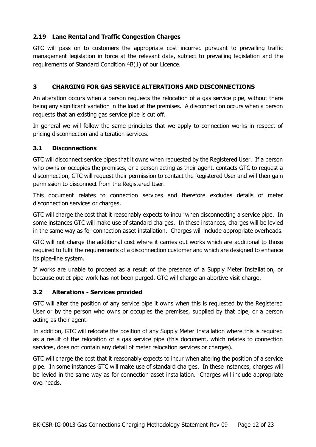# **2.19 Lane Rental and Traffic Congestion Charges**

GTC will pass on to customers the appropriate cost incurred pursuant to prevailing traffic management legislation in force at the relevant date, subject to prevailing legislation and the requirements of Standard Condition 4B(1) of our Licence.

# **3 CHARGING FOR GAS SERVICE ALTERATIONS AND DISCONNECTIONS**

An alteration occurs when a person requests the relocation of a gas service pipe, without there being any significant variation in the load at the premises. A disconnection occurs when a person requests that an existing gas service pipe is cut off.

In general we will follow the same principles that we apply to connection works in respect of pricing disconnection and alteration services.

### **3.1 Disconnections**

GTC will disconnect service pipes that it owns when requested by the Registered User. If a person who owns or occupies the premises, or a person acting as their agent, contacts GTC to request a disconnection, GTC will request their permission to contact the Registered User and will then gain permission to disconnect from the Registered User.

This document relates to connection services and therefore excludes details of meter disconnection services or charges.

GTC will charge the cost that it reasonably expects to incur when disconnecting a service pipe. In some instances GTC will make use of standard charges. In these instances, charges will be levied in the same way as for connection asset installation. Charges will include appropriate overheads.

GTC will not charge the additional cost where it carries out works which are additional to those required to fulfil the requirements of a disconnection customer and which are designed to enhance its pipe-line system.

If works are unable to proceed as a result of the presence of a Supply Meter Installation, or because outlet pipe-work has not been purged, GTC will charge an abortive visit charge.

### **3.2 Alterations - Services provided**

GTC will alter the position of any service pipe it owns when this is requested by the Registered User or by the person who owns or occupies the premises, supplied by that pipe, or a person acting as their agent.

In addition, GTC will relocate the position of any Supply Meter Installation where this is required as a result of the relocation of a gas service pipe (this document, which relates to connection services, does not contain any detail of meter relocation services or charges).

GTC will charge the cost that it reasonably expects to incur when altering the position of a service pipe. In some instances GTC will make use of standard charges. In these instances, charges will be levied in the same way as for connection asset installation. Charges will include appropriate overheads.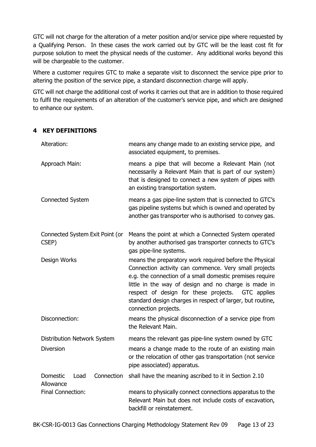GTC will not charge for the alteration of a meter position and/or service pipe where requested by a Qualifying Person. In these cases the work carried out by GTC will be the least cost fit for purpose solution to meet the physical needs of the customer. Any additional works beyond this will be chargeable to the customer.

Where a customer requires GTC to make a separate visit to disconnect the service pipe prior to altering the position of the service pipe, a standard disconnection charge will apply.

GTC will not charge the additional cost of works it carries out that are in addition to those required to fulfil the requirements of an alteration of the customer's service pipe, and which are designed to enhance our system.

### **4 KEY DEFINITIONS**

| Alteration:                                     | means any change made to an existing service pipe, and<br>associated equipment, to premises.                                                                                                                                                                                                                                                                                    |  |
|-------------------------------------------------|---------------------------------------------------------------------------------------------------------------------------------------------------------------------------------------------------------------------------------------------------------------------------------------------------------------------------------------------------------------------------------|--|
| Approach Main:                                  | means a pipe that will become a Relevant Main (not<br>necessarily a Relevant Main that is part of our system)<br>that is designed to connect a new system of pipes with<br>an existing transportation system.                                                                                                                                                                   |  |
| Connected System                                | means a gas pipe-line system that is connected to GTC's<br>gas pipeline systems but which is owned and operated by<br>another gas transporter who is authorised to convey gas.                                                                                                                                                                                                  |  |
| Connected System Exit Point (or<br>CSEP)        | Means the point at which a Connected System operated<br>by another authorised gas transporter connects to GTC's<br>gas pipe-line systems.                                                                                                                                                                                                                                       |  |
| Design Works                                    | means the preparatory work required before the Physical<br>Connection activity can commence. Very small projects<br>e.g. the connection of a small domestic premises require<br>little in the way of design and no charge is made in<br>respect of design for these projects. GTC applies<br>standard design charges in respect of larger, but routine,<br>connection projects. |  |
| Disconnection:                                  | means the physical disconnection of a service pipe from<br>the Relevant Main.                                                                                                                                                                                                                                                                                                   |  |
| Distribution Network System<br><b>Diversion</b> | means the relevant gas pipe-line system owned by GTC<br>means a change made to the route of an existing main<br>or the relocation of other gas transportation (not service<br>pipe associated) apparatus.                                                                                                                                                                       |  |
| Domestic<br>Connection<br>Load<br>Allowance     | shall have the meaning ascribed to it in Section 2.10                                                                                                                                                                                                                                                                                                                           |  |
| Final Connection:                               | means to physically connect connections apparatus to the<br>Relevant Main but does not include costs of excavation,<br>backfill or reinstatement.                                                                                                                                                                                                                               |  |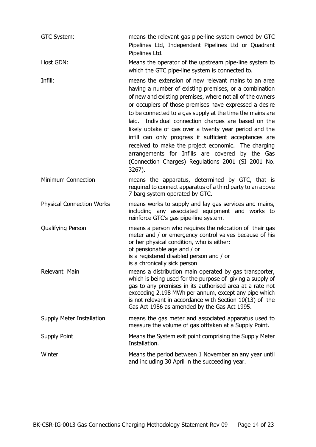| GTC System:                      | means the relevant gas pipe-line system owned by GTC<br>Pipelines Ltd, Independent Pipelines Ltd or Quadrant<br>Pipelines Ltd.                                                                                                                                                                                                                                                                                                                                                                                                                                                                                                                           |
|----------------------------------|----------------------------------------------------------------------------------------------------------------------------------------------------------------------------------------------------------------------------------------------------------------------------------------------------------------------------------------------------------------------------------------------------------------------------------------------------------------------------------------------------------------------------------------------------------------------------------------------------------------------------------------------------------|
| Host GDN:                        | Means the operator of the upstream pipe-line system to<br>which the GTC pipe-line system is connected to.                                                                                                                                                                                                                                                                                                                                                                                                                                                                                                                                                |
| Infill:                          | means the extension of new relevant mains to an area<br>having a number of existing premises, or a combination<br>of new and existing premises, where not all of the owners<br>or occupiers of those premises have expressed a desire<br>to be connected to a gas supply at the time the mains are<br>laid. Individual connection charges are based on the<br>likely uptake of gas over a twenty year period and the<br>infill can only progress if sufficient acceptances are<br>received to make the project economic. The charging<br>arrangements for Infills are covered by the Gas<br>(Connection Charges) Regulations 2001 (SI 2001 No.<br>3267). |
| <b>Minimum Connection</b>        | means the apparatus, determined by GTC, that is<br>required to connect apparatus of a third party to an above<br>7 barg system operated by GTC.                                                                                                                                                                                                                                                                                                                                                                                                                                                                                                          |
| <b>Physical Connection Works</b> | means works to supply and lay gas services and mains,<br>including any associated equipment and works to<br>reinforce GTC's gas pipe-line system.                                                                                                                                                                                                                                                                                                                                                                                                                                                                                                        |
| <b>Qualifying Person</b>         | means a person who requires the relocation of their gas<br>meter and / or emergency control valves because of his<br>or her physical condition, who is either:<br>of pensionable age and / or<br>is a registered disabled person and / or<br>is a chronically sick person                                                                                                                                                                                                                                                                                                                                                                                |
| Relevant Main                    | means a distribution main operated by gas transporter,<br>which is being used for the purpose of giving a supply of<br>gas to any premises in its authorised area at a rate not<br>exceeding 2,198 MWh per annum, except any pipe which<br>is not relevant in accordance with Section $10(13)$ of the<br>Gas Act 1986 as amended by the Gas Act 1995.                                                                                                                                                                                                                                                                                                    |
| Supply Meter Installation        | means the gas meter and associated apparatus used to<br>measure the volume of gas offtaken at a Supply Point.                                                                                                                                                                                                                                                                                                                                                                                                                                                                                                                                            |
| Supply Point                     | Means the System exit point comprising the Supply Meter<br>Installation.                                                                                                                                                                                                                                                                                                                                                                                                                                                                                                                                                                                 |
| Winter                           | Means the period between 1 November an any year until<br>and including 30 April in the succeeding year.                                                                                                                                                                                                                                                                                                                                                                                                                                                                                                                                                  |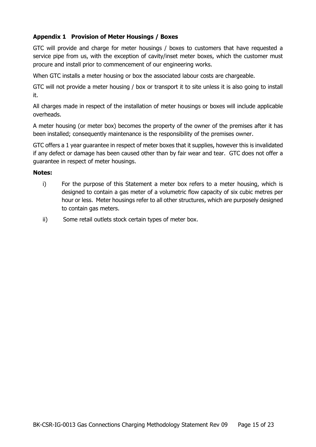# **Appendix 1 Provision of Meter Housings / Boxes**

GTC will provide and charge for meter housings / boxes to customers that have requested a service pipe from us, with the exception of cavity/inset meter boxes, which the customer must procure and install prior to commencement of our engineering works.

When GTC installs a meter housing or box the associated labour costs are chargeable.

GTC will not provide a meter housing / box or transport it to site unless it is also going to install it.

All charges made in respect of the installation of meter housings or boxes will include applicable overheads.

A meter housing (or meter box) becomes the property of the owner of the premises after it has been installed; consequently maintenance is the responsibility of the premises owner.

GTC offers a 1 year guarantee in respect of meter boxes that it supplies, however this is invalidated if any defect or damage has been caused other than by fair wear and tear. GTC does not offer a guarantee in respect of meter housings.

#### **Notes:**

- i) For the purpose of this Statement a meter box refers to a meter housing, which is designed to contain a gas meter of a volumetric flow capacity of six cubic metres per hour or less. Meter housings refer to all other structures, which are purposely designed to contain gas meters.
- ii) Some retail outlets stock certain types of meter box.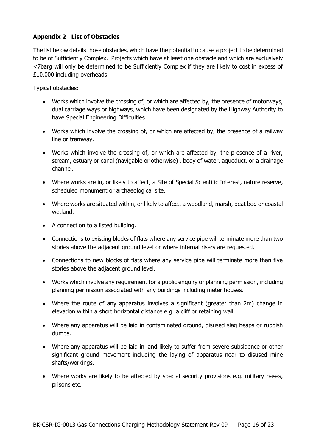# **Appendix 2 List of Obstacles**

The list below details those obstacles, which have the potential to cause a project to be determined to be of Sufficiently Complex. Projects which have at least one obstacle and which are exclusively <7barg will only be determined to be Sufficiently Complex if they are likely to cost in excess of £10,000 including overheads.

Typical obstacles:

- Works which involve the crossing of, or which are affected by, the presence of motorways, dual carriage ways or highways, which have been designated by the Highway Authority to have Special Engineering Difficulties.
- Works which involve the crossing of, or which are affected by, the presence of a railway line or tramway.
- Works which involve the crossing of, or which are affected by, the presence of a river, stream, estuary or canal (navigable or otherwise) , body of water, aqueduct, or a drainage channel.
- Where works are in, or likely to affect, a Site of Special Scientific Interest, nature reserve, scheduled monument or archaeological site.
- Where works are situated within, or likely to affect, a woodland, marsh, peat bog or coastal wetland.
- A connection to a listed building.
- Connections to existing blocks of flats where any service pipe will terminate more than two stories above the adjacent ground level or where internal risers are requested.
- Connections to new blocks of flats where any service pipe will terminate more than five stories above the adjacent ground level.
- Works which involve any requirement for a public enquiry or planning permission, including planning permission associated with any buildings including meter houses.
- Where the route of any apparatus involves a significant (greater than 2m) change in elevation within a short horizontal distance e.g. a cliff or retaining wall.
- Where any apparatus will be laid in contaminated ground, disused slag heaps or rubbish dumps.
- Where any apparatus will be laid in land likely to suffer from severe subsidence or other significant ground movement including the laying of apparatus near to disused mine shafts/workings.
- Where works are likely to be affected by special security provisions e.g. military bases, prisons etc.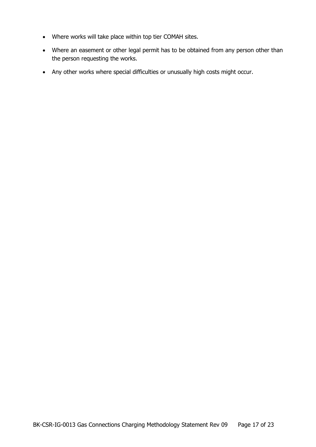- Where works will take place within top tier COMAH sites.
- Where an easement or other legal permit has to be obtained from any person other than the person requesting the works.
- Any other works where special difficulties or unusually high costs might occur.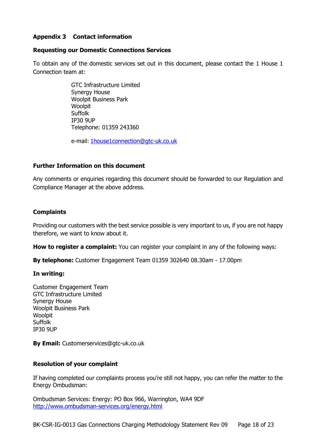# **Appendix 3 Contact information**

#### **Requesting our Domestic Connections Services**

To obtain any of the domestic services set out in this document, please contact the 1 House 1 Connection team at:

> GTC Infrastructure Limited Synergy House Woolpit Business Park **Woolpit** Suffolk IP30 9UP Telephone: 01359 243360

e-mail: [1house1connection@gtc-uk.co.uk](mailto:1house1connection@gtc-uk.co.uk)

### **Further Information on this document**

Any comments or enquiries regarding this document should be forwarded to our Regulation and Compliance Manager at the above address.

### **Complaints**

Providing our customers with the best service possible is very important to us, if you are not happy therefore, we want to know about it.

**How to register a complaint:** You can register your complaint in any of the following ways:

**By telephone:** Customer Engagement Team 01359 302640 08.30am - 17.00pm

#### **In writing:**

Customer Engagement Team GTC Infrastructure Limited Synergy House Woolpit Business Park **Woolpit** Suffolk IP30 9UP

**By Email:** Customerservices@gtc-uk.co.uk

#### **Resolution of your complaint**

If having completed our complaints process you're still not happy, you can refer the matter to the Energy Ombudsman:

Ombudsman Services: Energy: PO Box 966, Warrington, WA4 9DF <http://www.ombudsman-services.org/energy.html>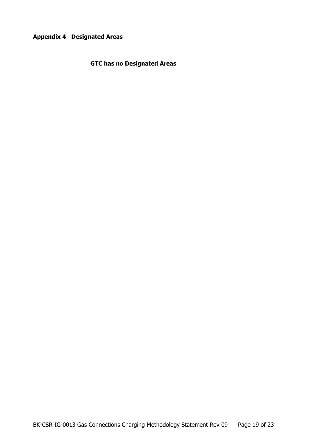**Appendix 4 Designated Areas**

**GTC has no Designated Areas**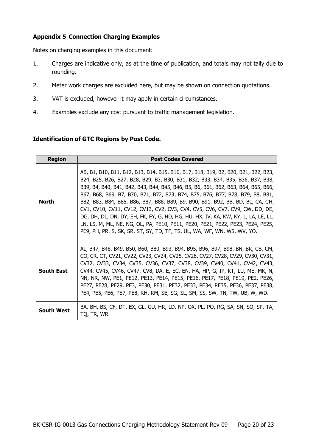# **Appendix 5 Connection Charging Examples**

Notes on charging examples in this document:

- 1. Charges are indicative only, as at the time of publication, and totals may not tally due to rounding.
- 2. Meter work charges are excluded here, but may be shown on connection quotations.
- 3. VAT is excluded, however it may apply in certain circumstances.
- 4. Examples exclude any cost pursuant to traffic management legislation.

### **Identification of GTC Regions by Post Code.**

| <b>Region</b>     | <b>Post Codes Covered</b>                                                                                                                                                                                                                                                                                                                                                                                                                                                                                                                                                                                                                                                                                                                                    |
|-------------------|--------------------------------------------------------------------------------------------------------------------------------------------------------------------------------------------------------------------------------------------------------------------------------------------------------------------------------------------------------------------------------------------------------------------------------------------------------------------------------------------------------------------------------------------------------------------------------------------------------------------------------------------------------------------------------------------------------------------------------------------------------------|
| North             | AB, B1, B10, B11, B12, B13, B14, B15, B16, B17, B18, B19, B2, B20, B21, B22, B23,<br>B24, B25, B26, B27, B28, B29, B3, B30, B31, B32, B33, B34, B35, B36, B37, B38,<br>B39, B4, B40, B41, B42, B43, B44, B45, B46, B5, B6, B61, B62, B63, B64, B65, B66,<br>B67, B68, B69, B7, B70, B71, B72, B73, B74, B75, B76, B77, B78, B79, B8, B81,<br>B82, B83, B84, B85, B86, B87, B88, B89, B9, B90, B91, B92, BB, BD, BL, CA, CH,<br>CV1, CV10, CV11, CV12, CV13, CV2, CV3, CV4, CV5, CV6, CV7, CV9, CW, DD, DE,<br>DG, DH, DL, DN, DY, EH, FK, FY, G, HD, HG, HU, HX, IV, KA, KW, KY, L, LA, LE, LL,<br>LN, LS, M, ML, NE, NG, OL, PA, PE10, PE11, PE20, PE21, PE22, PE23, PE24, PE25,<br>PE9, PH, PR. S, SK, SR, ST, SY, TD, TF, TS, UL, WA, WF, WN, WS, WV, YO. |
| <b>South East</b> | AL, B47, B48, B49, B50, B60, B80, B93, B94, B95, B96, B97, B98, BN, BR, CB, CM,<br>CO, CR, CT, CV21, CV22, CV23, CV24, CV25, CV26, CV27, CV28, CV29, CV30, CV31,<br>CV32, CV33, CV34, CV35, CV36, CV37, CV38, CV39, CV40, CV41, CV42, CV43,<br>CV44, CV45, CV46, CV47, CV8, DA, E, EC, EN, HA, HP, G, IP, KT, LU, ME, MK, N,<br>NN, NR, NW, PE1, PE12, PE13, PE14, PE15, PE16, PE17, PE18, PE19, PE2, PE26,<br>PE27, PE28, PE29, PE3, PE30, PE31, PE32, PE33, PE34, PE35, PE36, PE37, PE38,<br>PE4, PE5, PE6, PE7, PE8, RH, RM, SE, SG, SL, SM, SS, SW, TN, TW, UB, W, WD.                                                                                                                                                                                   |
| <b>South West</b> | BA, BH, BS, CF, DT, EX, GL, GU, HR, LD, NP, OX, PL, PO, RG, SA, SN, SO, SP, TA,<br>TQ, TR, WR.                                                                                                                                                                                                                                                                                                                                                                                                                                                                                                                                                                                                                                                               |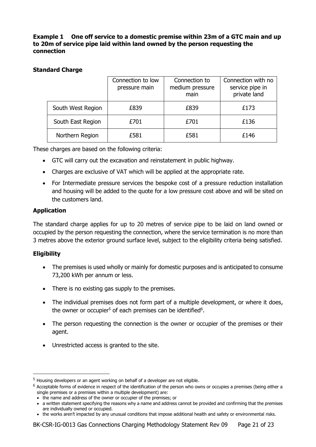**Example 1 One off service to a domestic premise within 23m of a GTC main and up to 20m of service pipe laid within land owned by the person requesting the connection**

# **Standard Charge**

|                   | Connection to low<br>pressure main | Connection to<br>medium pressure<br>main | Connection with no<br>service pipe in<br>private land |
|-------------------|------------------------------------|------------------------------------------|-------------------------------------------------------|
| South West Region | £839                               | £839                                     | £173                                                  |
| South East Region | £701                               | £701                                     | £136                                                  |
| Northern Region   | £581                               | £581                                     | £146                                                  |

These charges are based on the following criteria:

- GTC will carry out the excavation and reinstatement in public highway.
- Charges are exclusive of VAT which will be applied at the appropriate rate.
- For Intermediate pressure services the bespoke cost of a pressure reduction installation and housing will be added to the quote for a low pressure cost above and will be sited on the customers land.

# **Application**

The standard charge applies for up to 20 metres of service pipe to be laid on land owned or occupied by the person requesting the connection, where the service termination is no more than 3 metres above the exterior ground surface level, subject to the eligibility criteria being satisfied.

# **Eligibility**

- The premises is used wholly or mainly for domestic purposes and is anticipated to consume 73,200 kWh per annum or less.
- There is no existing gas supply to the premises.
- The individual premises does not form part of a multiple development, or where it does, the owner or occupier<sup>5</sup> of each premises can be identified<sup>6</sup>.
- The person requesting the connection is the owner or occupier of the premises or their agent.
- Unrestricted access is granted to the site.

<sup>&</sup>lt;sup>5</sup> Housing developers or an agent working on behalf of a developer are not eligible.

 $6$  Acceptable forms of evidence in respect of the identification of the person who owns or occupies a premises (being either a single premises or a premises within a multiple development) are:

<sup>•</sup> the name and address of the owner or occupier of the premises; or

<sup>•</sup> a written statement specifying the reasons why a name and address cannot be provided and confirming that the premises are individually owned or occupied.

<sup>•</sup> the works aren't impacted by any unusual conditions that impose additional health and safety or environmental risks.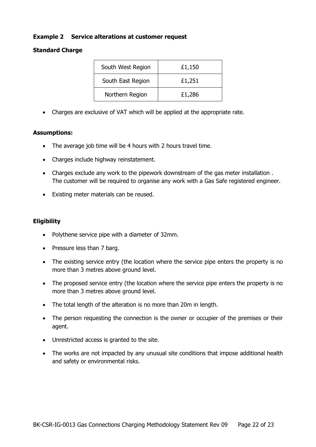### **Example 2 Service alterations at customer request**

### **Standard Charge**

| South West Region | £1,150 |
|-------------------|--------|
| South East Region | £1,251 |
| Northern Region   | £1,286 |

• Charges are exclusive of VAT which will be applied at the appropriate rate.

### **Assumptions:**

- The average job time will be 4 hours with 2 hours travel time.
- Charges include highway reinstatement.
- Charges exclude any work to the pipework downstream of the gas meter installation . The customer will be required to organise any work with a Gas Safe registered engineer.
- Existing meter materials can be reused.

### **Eligibility**

- Polythene service pipe with a diameter of 32mm.
- Pressure less than 7 barg.
- The existing service entry (the location where the service pipe enters the property is no more than 3 metres above ground level.
- The proposed service entry (the location where the service pipe enters the property is no more than 3 metres above ground level.
- The total length of the alteration is no more than 20m in length.
- The person requesting the connection is the owner or occupier of the premises or their agent.
- Unrestricted access is granted to the site.
- The works are not impacted by any unusual site conditions that impose additional health and safety or environmental risks.